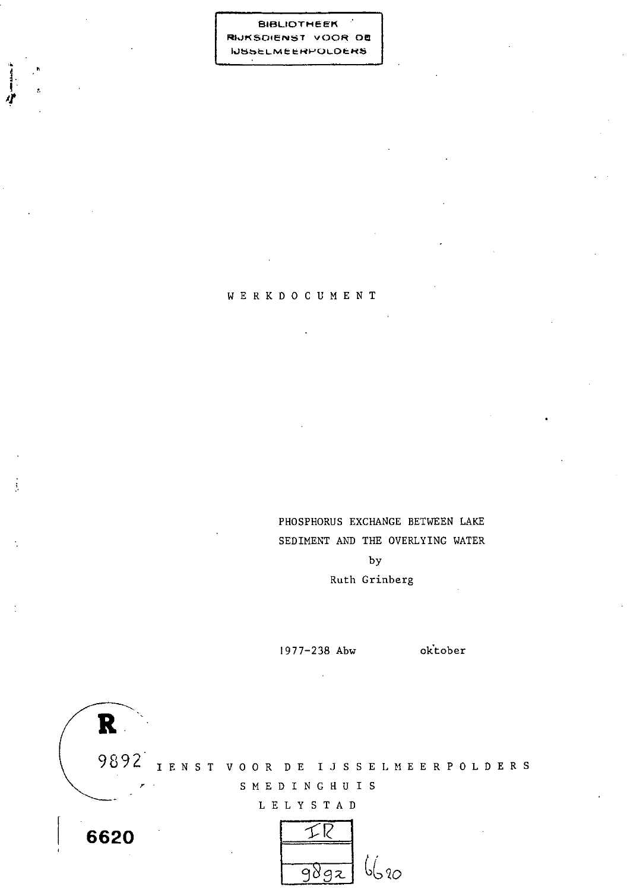**BIBLIOTHEEK** RIJKSDIENST VOOR DE **NSSELMEERPOLDERS** 

## WERKDOCUMENT

PHOSPHORUS EXCHANGE BETWEEN LAKE SEDIMENT AND THE OVERLYING WATER  $by$ Ruth Grinberg

1977-238 Abw

oktober

9892 IENST VOOR DE IJSSELMEERPOLDERS SMEDINGHUIS

L E L Y S T A D



6620

 $\mathbf R$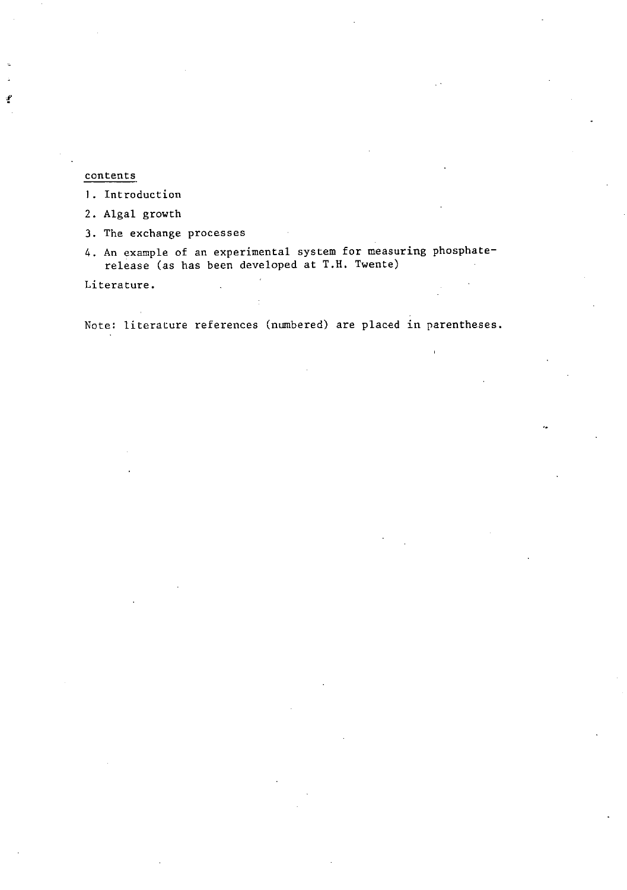## **contents**

**1. Introduction** 

**2. Algal growth** 

**3. The exchange processes** 

**4. An example of an experimental system for measuring phosphaterelease (as has been developed at T.H. Twente)** 

**Literature.** 

**Note: literature references (numbered) are placed in parentheses.**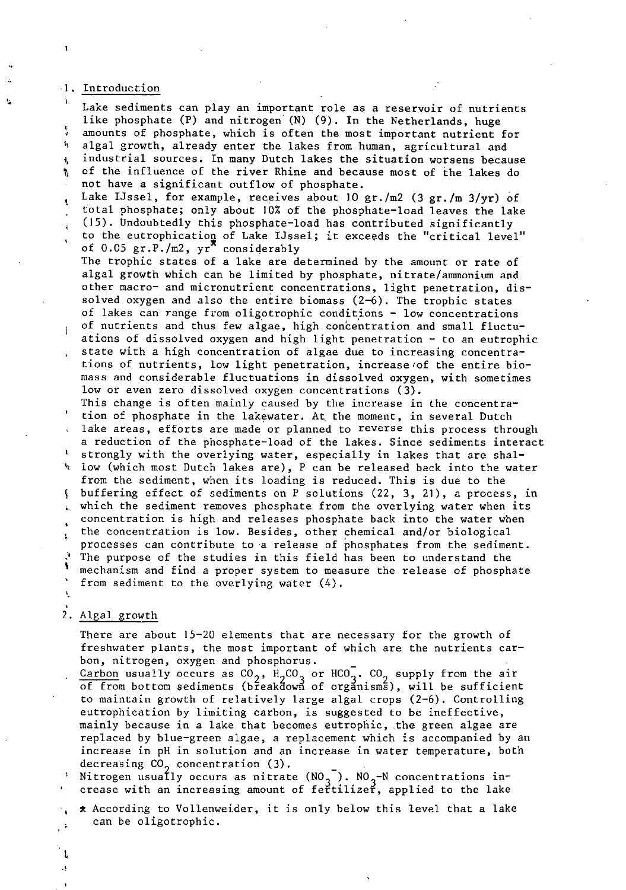#### I. Introduction

**<sup>i</sup>**Lake sediments can play an important role as a reservoir of nutrients like phosphate  $(P)$  and nitrogen  $(N)$   $(9)$ . In the Netherlands, huge : amounts of phosphate, which is often the most important nutrient for<br>h algal growth, already enter the lakes from human, agricultural and i algal growth, already enter the lakes from human, agricultural and<br>, industrial sources. In many Dutch lakes the situation worsens beca industrial sources. In many Dutch lakes the situation worsens because *8* of the influence of the river Rhine and because most of the lakes do not have a significant outflow of phosphate. Lake IJssel, for example, receives about 10 gr./m2 (3 gr./m 3/yr) of total phosphate; only about 10% of the phosphate-load leaves the lake , (15). Undoubtedly this phosphate-load has contributed significantly to the eutrophication of Lake IJssel; it exceeds the "critical level" ' of  $0.05$  gr.P./m2,  $yr^*$  considerably The trophic states of a lake are determined by the amount or rate of algal growth which can be limited by phosphate, nitrate/ammonium and other macro- and micronutrient concentrations, light penetration, dissolved oxygen and also the entire biomass  $(2-6)$ . The trophic states of lakes can range from oligotrophic conditions - low concentrations<br>of nutrients and thus few algae, high concentration and small fluctuations of dissolved oxygen and high light penetration - to an eutrophic state with a high concentration of algae due to increasing concentrations of nutrients, low light penetration, increase of the entire biomass and considerable fluctuations in dissolved oxygen, with sometimes low or even zero dissolved oxygen concentrations (3). This change is often mainly caused by the increase in the concentra-<br>tion of phosphate in the lakewater. At the moment, in several Dutch lake areas, efforts are made or planned to reverse this process through a reduction of the phosphate-load of the lakes. Since sediments interact ' strongly with the overlying water, especially in lakes that are shal low (which most Dutch lakes are), P can be released back into the water from the sediment, when its loading is reduced. This is due to the , buffering effect of sediments on P solutions (22, 3, 21), a process, in which the sediment removes phosphate from the overlying water when its  $\mathbf{L}$ concentration is high and releases phosphate back into the water when : the concentration is low. Besides, other chemical and/or biological **<sup>I</sup>** processes can contribute to a release of phosphates from the sediment. **.i** The purpose of the studies in this field has been to understand the ' mechanism and find a proper system to measure the release of phosphate from sediment to the overlying water  $(4)$ .

## 2. Algal growth

There are about 15-20 elements that are necessary for the growth of freshwater plants, the most important of which are the nutrients carbon, nitrogen, oxygen and phosphorus.

Carbon usually occurs as  $CO_2$ ,  $H_2CO_3$  or  $HCO_3^-$ .  $CO_2$  supply from the air of from bottom sediments (breakdown of organisms), will be sufficient to maintain growth of relatively large algal crops (2-6). Controlling eutrophication by limiting carbon, is suggested to be ineffective, mainly because in a lake that becomes eutrophic, the green algae are replaced by blue-green algae, a replacement which is accompanied by an increase in pH in solution and an increase in water temperature, both

decreasing CO<sub>2</sub> concentration (3).<br>Nitrogen usually occurs as nitrate (NO<sub>2</sub><sup>-</sup>). NO<sub>2</sub>-N concentrations increase with an increasing amount of fertilizer, applied to the lake

\* According to Vollenweider, it is only below this level that a lake can be oligotrophic.

t J.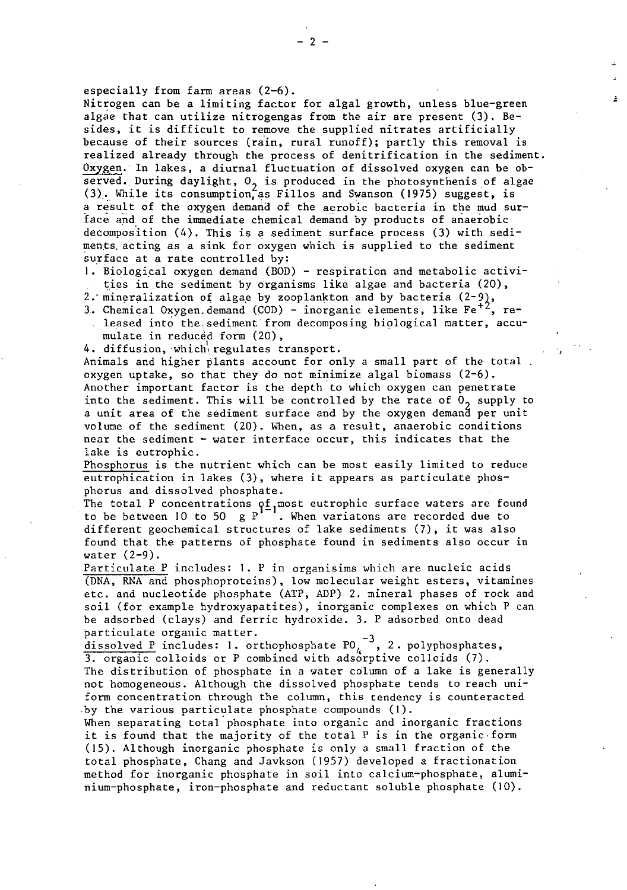especially from farm areas (2-6).

Nitrogen can be a limiting factor for algal growth, unless blue-green algae that can utilize nitrogengas from the air are present (3). Besides, it is difficult to remove the supplied nitrates artificially because of their sources (rain, rural runoff); partly this removal is realized already through the process of denitrification in the sediment. 0xygen:In lakes, a diurnal fluctuation of dissolved oxygen can be observed. During daylight,  $0<sub>2</sub>$  is produced in the photosynthenis of algae (3). While its consumption, as Fillos and Swanson (1975) suggest, is a result of the oxygen demand of the aerobic bacteria in the mud surface and of the immediate chemical demand by products of anaerobic decomposition (4). This is a sediment surface process (3) with sediments.acting as a sink for oxygen which is supplied to the sediment surface at a rate controlled by:

1. Biological oxygen demand (BOD) - respiration and metabolic activities in the sediment by organisms like algae and bacteria  $(20)$ ,

- 
- 2. mineralization of algae by zooplankton and by bacteria (2-9),<br>3. Chemical Oxygen. demand (COD) inorganic elements, like  $Fe^{+2}$ , released into the sediment from decomposing biological matter, accu-
- mulate in reduced form (20),<br>4. diffusion, which regulates transport.

Animals and higher plants account for only a small part of the total. oxygen uptake, so that they do not minimize algal biomass  $(2-6)$ . Another important factor is the depth to which oxygen can penetrate into the sediment. This will be controlled by the rate of  $0<sub>2</sub>$  supply to a unit area of the sediment surface and by the oxygen demand per unit volume of the sediment (20). When, as a result, anaerobic conditions near the sediment - water interface occur, this indicates that the lake is eutrophic.

Phosphorus is the nutrient which can be most easily limited to reduce eutrophication in lakes (3), where it appears as particulate phosphorus and dissolved phosphate.

The total P concentrations  $\mathsf{q}\mathsf{f}_\mathsf{I}$ most eutrophic surface waters are found to be between 10 to 50  $\mathrm{g}\,\mathrm{P}^{1-1}$ . When variatons are recorded due to different geochemical structures of lake sediments (7), it was also found that the patterns of phosphate found in sediments also occur in water (2-9).

Particulate P includes: 1. P in organisims which are nucleic acids (DNA, RNA and phosphoproteins), low molecular weight esters, vitamines etc. and nucleotide phosphate (ATP, ADP) 2. mineral phases of rock and soil (for example hydroxyapatites), inorganic complexes on which P can be adsorbed (clays) and ferric hydroxide. 3. P adsorbed onto dead

particulate organic matter.<br><u>dissolved P</u> includes: 1. orthophosphate PO<sub>4</sub> , 2. polyphosphates, 3. organic colloids or P combined with adsorptive colloids (7).

The distribution of phosphate in a water column of a lake is generally not homogeneous. Although the dissolved phosphate tends to reach uniform concentration through the column, this tendency is counteracted by the various particulate phosphate compounds (I).

When separating total'phosphate into organic and inorganic fractions it is found that the majority of the total  $P$  is in the organic.form (15). Although inorganic phosphate is only a small fraction of the total phosphate, Chang and Javkson (1957) developed a fractionation method for inorganic phosphate in soil into calcium-phosphate, alumi $nium-phosphate, iron-phosphate and reduction to soluble phosphate (10).$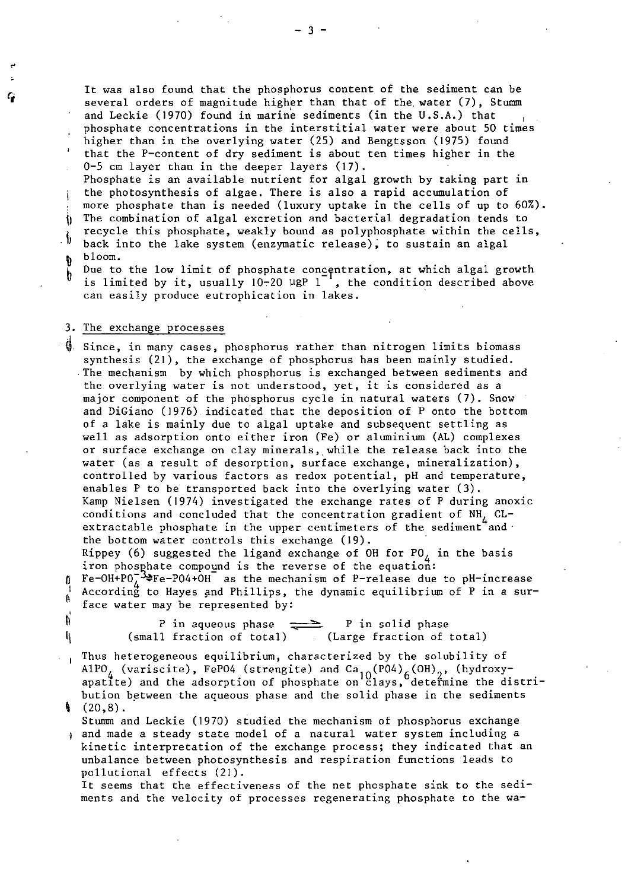It was also found that the phosphorus content of the sediment can be several orders of magnitude higher than that of the water (7), Stumm and Leckie (1970) found in marine sediments (in the U.S.A.) that ' phosphate concentrations in the interstitial water were about 50 times higher than in the overlying water (25) and Bengtsson (1975) found ' that the P-content of dry sediment is about ten times higher in the 0-5 cm layer than in the deeper layers (17). Phosphate is an available nutrient for algal growth by taking part in i the photosynthesis of algae. There is also a rapid accumulation of

more phosphate than is needed (luxury uptake in the cells of up to 60%).<br>  $\eta$  The combination of algal excretion and bacterial degradation tends to<br>
recycle this abombate, workin bound as palynhomphate within the cells recycle this phosphate, weakly bound as polyphosphate within the cells, ID back into the lake system (enzymatic release), to sustain an algal **b** bloom.

Due to the low limit of phosphate concentration, at which algal growth is limited by it, usually  $10-20$  PgP 1 , the condition described above can easily produce eutrophication in lakes.

#### 3. The exchange processes

 $\ddot{\textbf{y}}$ . Since, in many cases, phosphorus rather than nitrogen limits biomass synthesis (21), the exchange of phosphorus has been mainly studied. The mechanism by which phosphorus is exchanged between sediments and the overlying water is not understood, yet, it is considered as a major component of the phosphorus cycle in natural waters **(7).** Snow and DiGiano (1976) indicated that the deposition of P onto the bottom of a lake is mainly due to algal uptake and subsequent settling as well as adsorption onto either iron (Fe) or aluminium (AL) complexes or surface exchange on clay minerals, while the release back into the water (as a result of desorption, surface exchange, mineralization), controlled by various factors as redox potential, pH and temperature, enables P to be transported back into the overlying water (3). Kamp Nielsen (1974) investigated the exchange rates of P during anoxic conditions and concluded that the concentration gradient of  $NH_{4}$  CL-extractable phosphate in the upper centimeters of the sediment and the bottom water controls this exchange (19).

Rippey (6) suggested the ligand exchange of OH for  $P0_A$  in the basis iron phosphate compound is the reverse of the equation:

**0** Be-OH+POl%Fe-PO4+OH as the mechanism of P-release due to pH-increase According to Hayes and Phillips, the dynamic equilibrium of P in a sur-<br>A face water may be represented by:

 $\frac{1}{2}$  P in aqueous phase  $\frac{1}{2}$  P in solid phase '\ (small fraction of total) (Large fraction of total)

Thus heterogeneous equilibrium, characterized by the solubility of AlPO<sub>L</sub> (variscite), FePO4 (strengite) and Ca<sub>10</sub>(PO4)<sub>6</sub>(OH)<sub>2</sub>, (hydroxy-<br>apatite) and the adsorption of phosphate on clays, determine the distribution between the aqueous phase and the solid phase in the sediments  $(20,8)$ .

Stumm and Leckie (1970) studied the mechanism of phosphorus exchange and made a steady state model of a natural water system including a kinetic interpretation of the exchange process; they indicated that an unbalance between photosynthesis and respiration functions leads to pollutional effects (21).

It seems that the effectiveness of the net phosphate sink to the sediments and the velocity of processes regenerating phosphate to the wa-

 $-3 -$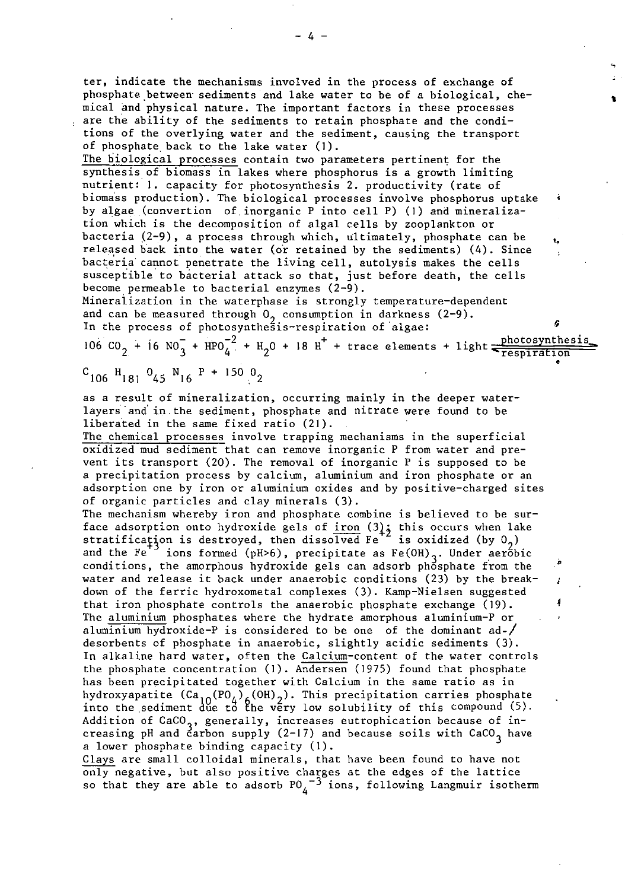ter, indicate the mechanisms involved in the process of exchange of phosphate between sediments and lake water to be of a biological, chemical and physical nature. The important factors in these processes are the ability of the sediments to retain phosphate and the conditions of the overlying water and the sediment, causing the transport of phosphate back to the lake water (1).

The biological processes contain two parameters pertinent for the synthesis of biomass in lakes where phosphorus is a growth limiting nutrient: I. capacity for photosynthesis 2. productivity (rate of biomass production). The biological processes involve phosphorus uptake by algae (convertion of. inorganic P into cell P) (1) and mineralization which is the decomposition of algal cells by zooplankton or bacteria (2-9), a process through which, ultimately, phosphate can be released back into the water (or retained by the sediments) (4). Since bacteria cannot penetrate the living cell, autolysis makes the cells susceptible to bacterial attack so that, just before death, the cells become permeable to bacterial enzymes (2-9).

Mineralization in the waterphase is strongly temperature-dependent and can be measured through  $0<sub>2</sub>$  consumption in darkness (2-9). In the process of photosynthesis-respiration of algae:

106 CO<sub>2</sub> + 16 NO<sub>3</sub> +  $HPO_4^{-2}$  + H<sub>2</sub>O + 18 H<sup>+</sup> + trace elements + light  $\frac{\text{photosynthesis}}{\text{respiration}}$ 

$$
c_{106} H_{181} O_{45} N_{16} P + 150 O_2
$$

as a result of mineralization, occurring mainly in the deeper waterlayers 'and' in. the sediment, phosphate and nitrate were found to be liberated in the same fixed ratio (21).

The chemical processes involve trapping mechanisms in the superficial oxidized mud sediment that can remove inorganic P from water and prevent its transport (20). The removal of inorganic P is supposed to be a precipitation process by calcium, aluminium and iron phosphate or an adsorption one by iron or aluminium oxides and by positive-charged sites of organic particles and clay minerals (3).

The mechanism whereby iron and phosphate combine is believed to be surface adsorption onto hydroxide gels of iron  $(3)_5$  this occurs when lake stratification is destroyed, then dissolved Fe $^{\texttt{+2}}$  is oxidized (by 0 $_{2})$ and the Fe<sup>+3</sup> ions formed (pH>6), precipitate as Fe(OH)<sub>3</sub>. Under aerobic conditions, the amorphous hydroxide gels can adsorb phosphate from the water and release it back under anaerobic conditions (23) by the breakdown of the ferric hydroxometal complexes (3). Kamp-Nielsen suggested that iron phosphate controls the anaerobic phosphate exchange (19). **<sup>4</sup>** The aluminium phosphates where the hydrate amorphous aluminium-P or aluminium hydroxide-P is considered to be one of the dominant ad-/ desorbents of phosphate in anaerobic, slightly acidic sediments (3). In alkaline hard water, often the Calcium-content of the water controls the phosphate concentration (I). Andersen (1975) found that phosphate has been precipitated together with Calcium in the same ratio as in hydroxyapatite  $(Ca_{10}(PO_{\lambda})_{\mu}(OH)_{\eta})$ . This precipitation carries phosphate  $\eta$ into the sediment due to the very low solubility of this compound (5). Addition of CaCO<sub>3</sub>, generally, increases eutrophication because of in-<br>creasing pH and carbon supply (2-17) and because soils with CaCO<sub>3</sub> have a lower phosphate binding capacity (1).<br>Clays are small colloidal minerals, that have been found to have not the phosphate concentration (1). Andersen (1975) round that phosphate<br>has been precipitated together with Calcium in the same ratio as in<br>hydroxyapatite  $(Ca_{10}(PO_4)_{6}(OH_2)$ . This precipitation carries phosphat<br>into the se

only negative, but also positive charges at the edges of the lattice so that they are able to adsorb  $P0_4^{\,-3}$  ions, following Langmuir isotherm

 $4 -$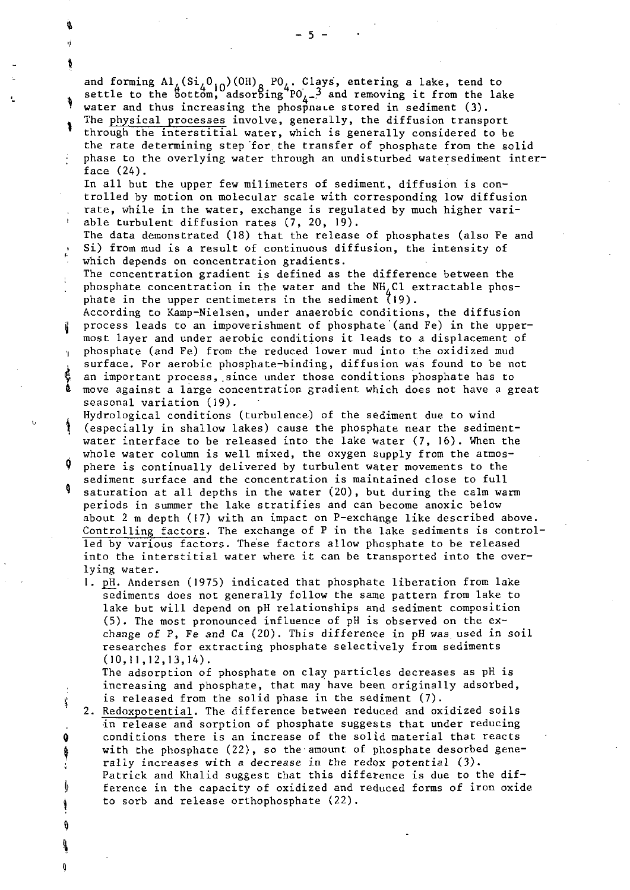and forming  $\text{Al}_L(\text{Si}_L\text{O}_{10})(\text{OH})_{\text{o}}$  PO,. Clays, entering a lake, tend to settle to the  $5$ ott $\vec{\text{om}}$ , adsor $5$ ing  $\text{PO}_{\lambda-}$ ? and removing it from the lake water and thus increasing the phosphace stored in sediment  $(3)$ . The physical processes involve, generally, the diffusion transport through the interstitial water, which is generally considered to be the rate determining step for the transfer of phosphate from the solid phase to the overlying water through an undisturbed watersediment interface (24). In all but the upper few milimeters of sediment, diffusion is controlled by motion on molecular scale with corresponding low diffusion rate, while in the water, exchange is regulated by much higher variable turbulent diffusion rates (7, 20, 19). The data demonstrated (18) that the release of phosphates (also Fe and Si) from mud is a result of continuous diffusion, the intensity of which depends on concentration gradients. The concentration gradient is defined as the difference between the phosphate concentration in the water and the NH, C1 extractable phosphate in the upper centimeters in the sediment  $(19)$ . According to Kamp-Nielsen, under anaerobic conditions, the diffusion process leads to an impoverishment of phosphate'(and Fe) in the uppermost layer and under aerobic conditions it leads to a displacement of phosphate (and Fe) from the reduced lower mud into the oxidized mud surface. For aerobic phosphate-binding, diffusion was found to be not an important process, since under those conditions phosphate has to move against a large concentration gradient which does not have a great seasonal variation (19). Hydrological conditions (turbulence) of the sediment due to wind (especially in shallow lakes) cause the phosphate near the sedimentwater interface to be released into the lake water (7, 16). When the whole water column is well mixed, the oxygen supply from the atmosphere is continually delivered by turbulent water movements to the sediment surface and the concentration is maintained close to full saturation at all depths in the water (20), but during the calm warm periods in summer the lake stratifies and can become anoxic below about 2 m depth (17) with an impact on P-exchange like described above. Controlling factors. The exchange of P in the lake sediments is controlled by various factors. These factors allow phosphate to be released into the interstitial water where it can be transported into the overlying water. 1. pH. Andersen (1975) indicated that phosphate liberation from lake sediments does not generally follow the same pattern from lake to lake but will depend on pH relationships and sediment composition (5). The most pronounced influence of pH is observed on the exchange of P, Fe and Ca (20). This difference in pH was used in soil researches for extracting phosphate selectively from sediments  $(10,11,12,13,14)$ . The adsorption of phosphate on clay particles decreases as pH is increasing and phosphate, that may have been originally adsorbed, is released from the solid phase in the sediment (7). J, 2. Redoxpotential. The difference between reduced and oxidized soils in release and sorption of phosphate suggests that under reducing conditions there is an increase of the solid material that reacts Q with the phosphate (22), so the amount of phosphate desorbed geneţ rally increases with a decrease in the redox potential  $(3)$ . Å Patrick and Khalid suggest that this difference is due to the dif--b ference in the capacity of oxidized and reduced forms of iron oxide

to sorb and release orthophosphate (22).

 $\theta$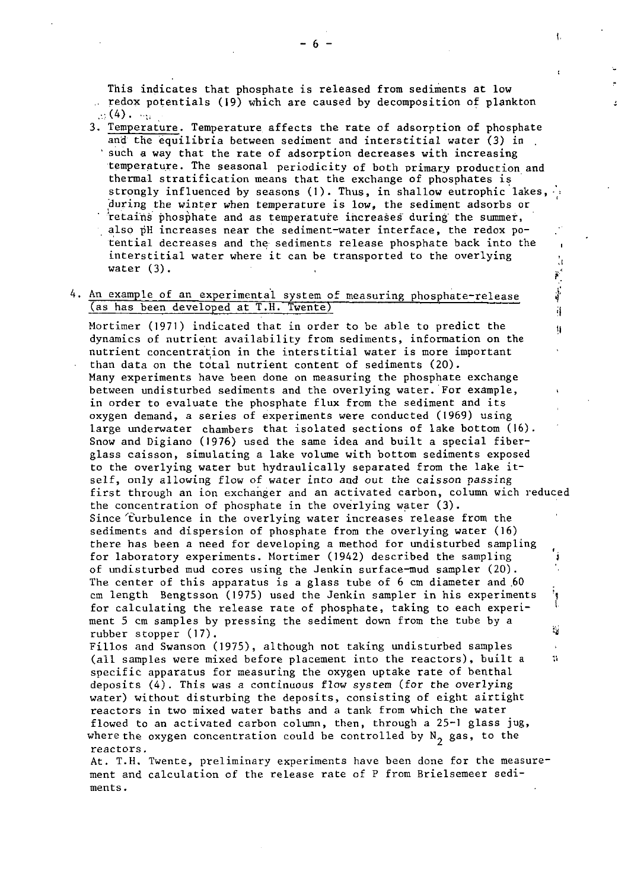This indicates that phosphate is released from sediments at low .. redox potentials (19) which are caused by decomposition of plankton  $\mathbf{r}_1(4)$ . ...; .

3. Temperature. Temperature affects the rate of adsorption of phosphate and the equilibria between sediment and interstitial water (3) in. such a way that the rate of adsorption decreases with increasing temperature. The seasonal periodicity of both primary production and thermal stratification means that the exchange of phosphates is strongly influenced by seasons (1). Thus, in shallow eutrophic lakes,

during the winter when temperature is low, the sediment adsorbs or retains phosphate and as temperature increases during the summer, also pH increases near the sediment-water interface, the redox po-<br>tential decreases and tential decreases and the sediments release phosphate back into the interstitial water where it can be transported to the overlying  $\frac{1}{2}$  water (3).

i':

11

ŧ.

# 4. An example of an experimental system of measuring phosphate-release  $\frac{3}{4}$  (as has been developed at T.H. Twente) (as has been developed at T.H. Twente)

Mortimer (1971) indicated that in order to be able to predict the *II* dynamics of nutrient availability from sediments, information on the nutrient concentration in the interstitial water is more important than data on the total nutrient content of sediments (20). Many experiments have been done on measuring the phosphate exchange between undisturbed sediments and the overlying water.'For example, in order to evaluate the phosphate flux from the sediment and its oxygen demand, a series of experiments were conducted (1969) using large underwater chambers that isolated sections of lake bottom (16). Snow and Digiano (1976) used the same idea and built a special fiberglass caisson, simulating a lake volume with bottom sediments exposed to the overlying water but hydraulically separated from the lake itself, only allowing flow of water into and out the caisson passing first through an ion exchanger and an activated carbon, column wich reduced the concentration of phosphate in the overlying water **(3).**  Since turbulence in the overlying water increases release from the sediments and dispersion of phosphate from the overlying water (16) there has been a need for developing a method for undisturbed sampling for laboratory experiments. Mortimer (1942) described the sampling of undisturbed mud cores using the Jenkin surface-mud sampler (20). The center of this apparatus is a glass tube of 6 cm diameter and 60 cm length Bengtsson (1975) used the Jenkin sampler in his experiments for calculating the release rate of phosphate, taking to each experiment 5 cm samples by pressing the sediment down from the tube by a rubber stopper (17). **We have a state of the state of the state of the state of the state of the state of the state of the state of the state of the state of the state of the state of the state of the state of the state of** Fillos and Swanson (1975), although not taking undisturbed samples

(all samples were mixed before placement into the reactors), built a specific apparatus for measuring the oxygen uptake rate of benthal deposits (4). This was a continuous flow system (for the overlying water) without disturbing the deposits, consisting of eight airtight reactors in two mixed water baths and a tank from which the water flowed to an activated carbon column, then, through a 25-1 glass jug, where the oxygen concentration could be controlled by  $N_2$  gas, to the reactors.

At. T.H. Twente, preliminary experiments have been done for the measurement and calculation of the release rate of P from Brielsemeer sediments.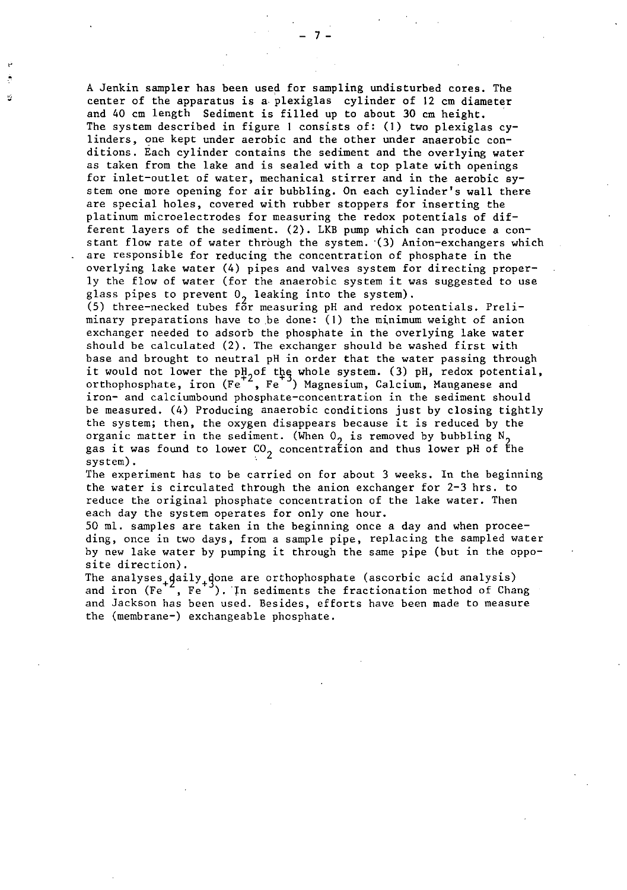A Jenkin sampler has been used for sampling undisturbed cores. The center of the apparatus is a plexiglas cylinder of 12 cm diameter and 40 cm length Sediment is filled up to about 30 cm height. The system described in figure **1** consists of: (I) two plexiglas cylinders, one kept under aerobic and the other under anaerobic conditions. Each cylinder contains the sediment and the overlying water as taken from the lake and is sealed with a top plate with openings for inlet-outlet of water, mechanical stirrer and in the aerobic system one more opening for air bubbling. On each cylinder's wall there are special holes, covered with rubber stoppers for inserting the platinum microelectrodes for measuring the redox potentials of different layers of the sediment. (2). LKB pump which can produce a constant flow rate of water through the system.  $(3)$  Anion-exchangers which are responsible for reducing the concentration of phosphate in the overlying lake water (4) pipes and valves system for directing properly the flow of water (for the anaerobic system it was suggested to use

glass pipes to prevent  $0<sub>2</sub>$  leaking into the system).<br>(5) three-necked tubes for measuring pH and redox potentials. Preliminary preparations have to be done: (I) the minimum weight of anion exchanger needed to adsorb the phosphate in the overlying lake water should be calculated (2). The exchanger should be washed first with base and brought to neutral pH in order that the water passing through it would not lower the pH of the whole system. (3) pH, redox potential, orthophosphate, iron  $(Fe^{+2}, Fe^{+3})$  Magnesium, Calcium, Manganese and iron- and calciumbound phosphate-concentration in the sediment should be measured. (4) Producing anaerobic conditions just by closing tightly the system; then, the oxygen disappears because it is reduced by the organic matter in the sediment. (When  $0<sub>2</sub>$  is removed by bubbling N<sub>2</sub> gas it was found to lower CO<sub>2</sub> concentration and thus lower pH of the<br>system).

The experiment has to be carried on for about 3 weeks. In the beginning the water is circulated through the anion exchanger for 2-3 hrs. to reduce the original phosphate concentration of the lake water. Then each day the system operates for only one hour.

50 ml. samples are taken in the beginning once a day and when proceeding, once in two days, from a sample pipe, replacing the sampled water by new lake water by pumping it through the same pipe (but in the opposite direction).

The analyses<sub>+</sub>daily<sub>+</sub>done are orthophosphate (ascorbic acid analysis)<br>and iron (Fe , Fe ). In sediments the fractionation method of Chang and Jackson has been used. Besides, efforts have been made to measure the (membrane-) exchangeable phosphate.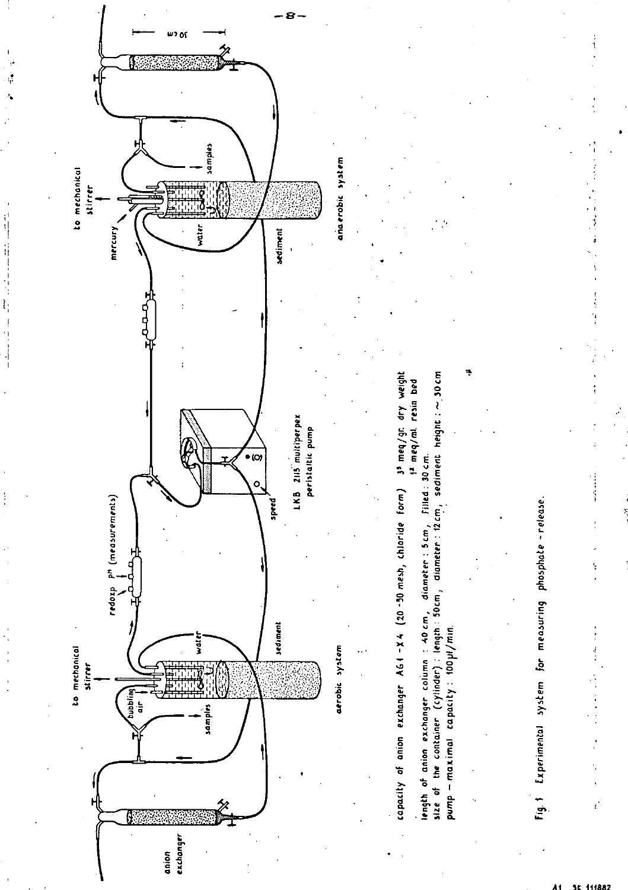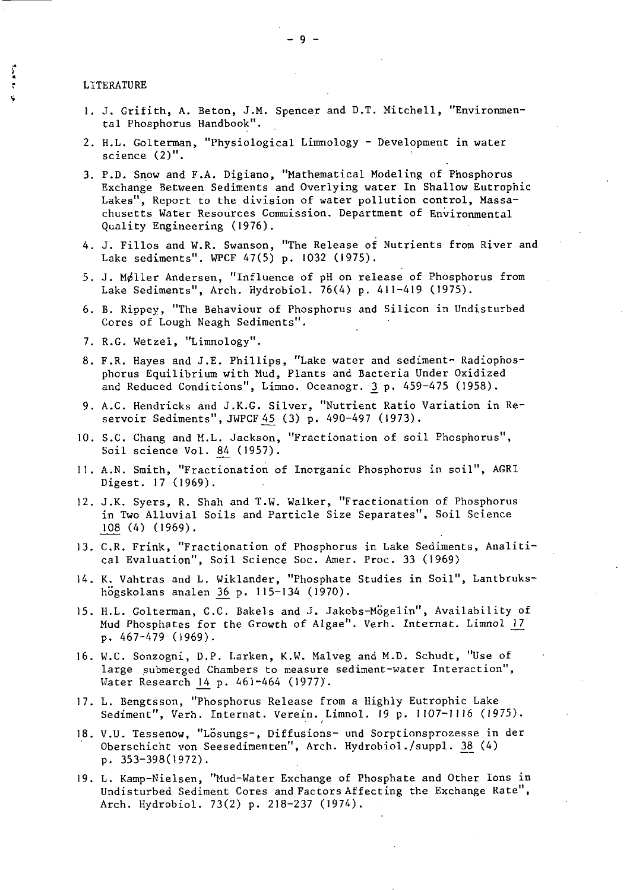#### LITERATURE

Į

- 1. 3. Grifith, A. Beton, J.M. Spencer and D.T. Mitchell, "Environmental Phosphorus Handbook".
- 2. H.L. Golterman, "Physiological Limnology Development in water science (2)".
- 3. P.D. Snow and F.A. Digiano, "Mathematical Modeling of Phosphorus Exchange Between Sediments and Overlying water In Shallow Eutrophic Lakes", Report to the division of water pollution control, Massachusetts Water Resources Commission. Department of Environmental Quality Engineering (1976).
- 4. J. Fillos and W.R. Swanson, "The Release of Nutrients from River and Lake sediments". WPCF 47(5) p. 1032 (1975).
- 5. J. Møller Andersen, "Influence of pH on release of Phosphorus from Lake Sediments", Arch. Hydrobiol. 76(4) p. 411-419 (1975).
- 6. B. Rippey, "The Behaviour of Phosphorus and Silicon in Undisturbed Cores of Lough Neagh Sediments".
- 7. R.G. Wetzel, "Limnology".
- 8. F.R. Hayes and J.E. Phillips, "Lake water and sediment- Radiophosphorus Equilibrium with Mud, Plants and Bacteria Under Oxidized phorus Equilibrium with Mud, Plants and Bacteria Under Oxidize<br>and Reduced Conditions", Limno. Oceanogr. <u>3</u> p. 459-475 (1958).
- 9. A.C. Hendricks and J.K.G. Silver, "Nutrient Ratio Variation in Re-<br>servoir Sediments", JWPCF 45 (3) p. 490-497 (1973). and Reduced Conditions", Limno. Oceanogr. <u>3</u> p. 459.<br>A.C. Hendricks and J.K.G. Silver, "Nutrient Ratio V<br>servoir Sediments",JWPCF 45 (3) p. 490-497 (1973).
- 10. S.C. Chang and M.L. Jackson, "Fractionation of soil Phosphorus", servoir Sediments", JWPCF 45<br>S.C. Chang and M.L. Jackson,<br>Soil science Vol. <u>84</u> (1957).
- II. A.N. Smith, "Fractionation of Inorganic Phosphorus in soil", AGRI Digest. 17 (1969).
- 12. J.K. Syers, R. Shah and T.W. Walker, "Fractionation of Phosphorus in Two Alluvial Soils and Particle Size Separates", Soil Science Digest. 17 (1969<br>J.K. Syers, R. S<br>in Two Alluvial<br>108 (4) (1969).<br>C.R. Frink. "Fra
- 13. C.R. Frink, "Fractionation of Phosphorus in Lake Sediments, Analitical Evaluation", Soil Science Soc. Amer. Proc. 33 (1969)
- 14. K. Vahtras and L. Wiklander, "Phosphate Studies in Soil", Lantbrukscal Evaluation", Soil Science Soc. Amer<br>K. Vahtras and L. Wiklander, "Phosphate<br>högskolans analen <u>36</u> p. 115-134 (1970).
- 15. H.L. Golterman, C.C. Bakels and J. Jakobs-Mogelin", Availability of högskolans analen 36 p. 115-134 (1970).<br>H.L. Golterman, C.C. Bakels and J. Jakobs-Mögelin", Availability of<br>Mud Phosphates for the Growth of Algae". Verh. Internat. Limnol 17 p. 467-479 (1969).
- 16. W.C. Sonzogni, D.P. Larken, K.W. Malveg and M.D. Schudt, "Use of large submerged Chambers to measure sediment-water Interaction", Water Research 14 p. 461-464 (1977).
- 17. L. Bengtsson, "phosphorus Release from a Highly Eutrophic Lake Sediment", Verh. Internat. Verein. Limnol. 19 p. 1107-1116 (1975).
- 18. V.U. Tessenow, "Lösungs-, Diffusions- und Sorptionsprozesse in der Oberschicht von Seesedimenten", Arch. Hydrobiol./suppl. 38 (4) p. 353-398(1972).
- 19. L. Kamp-Nielsen, "Mud-Water Exchange of Phosphate and Other Ions in Undisturbed Sediment Cores and Factors Affecting the Exchange Rate", Arch. Hydrobiol. 73(2) p. 218-237 (1974).